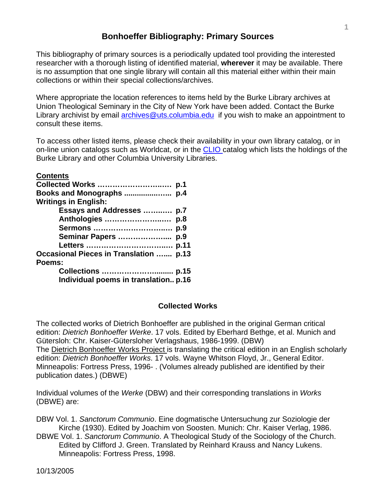## **Bonhoeffer Bibliography: Primary Sources**

This bibliography of primary sources is a periodically updated tool providing the interested researcher with a thorough listing of identified material, **wherever** it may be available. There is no assumption that one single library will contain all this material either within their main collections or within their special collections/archives.

Where appropriate the location references to items held by the Burke Library archives at Union Theological Seminary in the City of New York have been added. Contact the Burke Library archivist by email [archives@uts.columbia.edu](mailto:archives@uts.columbia.edu) if you wish to make an appointment to consult these items.

To access other listed items, please check their availability in your own library catalog, or in on-line union catalogs such as Worldcat, or in the [CLIO](http://www.columbia.edu/cu/lweb/indiv/burke/index.html) catalog which lists the holdings of the Burke Library and other Columbia University Libraries.

| <b>Contents</b>                               |  |
|-----------------------------------------------|--|
|                                               |  |
|                                               |  |
| <b>Writings in English:</b>                   |  |
| Essays and Addresses  p.7                     |  |
|                                               |  |
|                                               |  |
| Seminar Papers  p.9                           |  |
|                                               |  |
| <b>Occasional Pieces in Translation  p.13</b> |  |
| Poems:                                        |  |
|                                               |  |
| Individual poems in translation p.16          |  |

### **Collected Works**

The collected works of Dietrich Bonhoeffer are published in the original German critical edition: *Dietrich Bonhoeffer Werke*. 17 vols. Edited by Eberhard Bethge, et al. Munich and Gütersloh: Chr. Kaiser-Gütersloher Verlagshaus, 1986-1999. (DBW) The Dietrich Bonhoeffer Works Project is translating the critical edition in an English scholarly edition: *Dietrich Bonhoeffer Works*. 17 vols. Wayne Whitson Floyd, Jr., General Editor. Minneapolis: Fortress Press, 1996- . (Volumes already published are identified by their publication dates.) (DBWE)

Individual volumes of the *Werke* (DBW) and their corresponding translations in *Works*  (DBWE) are:

DBW Vol. 1. *Sanctorum Communio*. Eine dogmatische Untersuchung zur Soziologie der Kirche (1930). Edited by Joachim von Soosten. Munich: Chr. Kaiser Verlag, 1986.

DBWE Vol. 1. *Sanctorum Communio*. A Theological Study of the Sociology of the Church. Edited by Clifford J. Green. Translated by Reinhard Krauss and Nancy Lukens. Minneapolis: Fortress Press, 1998.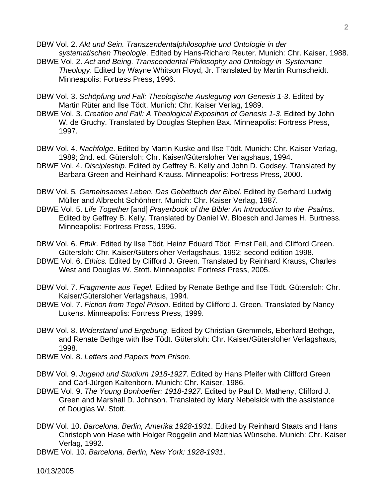DBW Vol. 2. *Akt und Sein. Transzendentalphilosophie und Ontologie in der systematischen Theologie*. Edited by Hans-Richard Reuter. Munich: Chr. Kaiser, 1988.

- DBWE Vol. 2. *Act and Being. Transcendental Philosophy and Ontology in Systematic Theology*. Edited by Wayne Whitson Floyd, Jr. Translated by Martin Rumscheidt. Minneapolis: Fortress Press, 1996.
- DBW Vol. 3. *Schöpfung und Fall: Theologische Auslegung von Genesis 1-3*. Edited by Martin Rüter and Ilse Tödt. Munich: Chr. Kaiser Verlag, 1989.
- DBWE Vol. 3. *Creation and Fall: A Theological Exposition of Genesis 1-3*. Edited by John W. de Gruchy. Translated by Douglas Stephen Bax. Minneapolis: Fortress Press, 1997.
- DBW Vol. 4. *Nachfolge*. Edited by Martin Kuske and Ilse Tödt. Munich: Chr. Kaiser Verlag, 1989; 2nd. ed. Gütersloh: Chr. Kaiser/Gütersloher Verlagshaus, 1994.
- DBWE Vol. 4. *Discipleship*. Edited by Geffrey B. Kelly and John D. Godsey. Translated by Barbara Green and Reinhard Krauss. Minneapolis: Fortress Press, 2000.
- DBW Vol. 5*. Gemeinsames Leben. Das Gebetbuch der Bibel.* Edited by Gerhard Ludwig Müller and Albrecht Schönherr. Munich: Chr. Kaiser Verlag, 1987*.*
- DBWE Vol. 5. *Life Together* [and] *Prayerbook of the Bible: An Introduction to the Psalms.*  Edited by Geffrey B. Kelly. Translated by Daniel W. Bloesch and James H. Burtness. Minneapolis: Fortress Press, 1996.
- DBW Vol. 6. *Ethik*. Edited by Ilse Tödt, Heinz Eduard Tödt, Ernst Feil, and Clifford Green. Gütersloh: Chr. Kaiser/Gütersloher Verlagshaus, 1992; second edition 1998.
- DBWE Vol. 6. *Ethics.* Edited by Clifford J. Green. Translated by Reinhard Krauss, Charles West and Douglas W. Stott. Minneapolis: Fortress Press, 2005.
- DBW Vol. 7. *Fragmente aus Tegel.* Edited by Renate Bethge and Ilse Tödt. Gütersloh: Chr. Kaiser/Gütersloher Verlagshaus, 1994.
- DBWE Vol. 7. *Fiction from Tegel Prison*. Edited by Clifford J. Green. Translated by Nancy Lukens. Minneapolis: Fortress Press, 1999.
- DBW Vol. 8. *Widerstand und Ergebung*. Edited by Christian Gremmels, Eberhard Bethge, and Renate Bethge with Ilse Tödt. Gütersloh: Chr. Kaiser/Gütersloher Verlagshaus, 1998.
- DBWE Vol. 8. *Letters and Papers from Prison*.
- DBW Vol. 9. *Jugend und Studium 1918-1927*. Edited by Hans Pfeifer with Clifford Green and Carl-Jürgen Kaltenborn. Munich: Chr. Kaiser, 1986.
- DBWE Vol. 9. *The Young Bonhoeffer: 1918-1927*. Edited by Paul D. Matheny, Clifford J. Green and Marshall D. Johnson. Translated by Mary Nebelsick with the assistance of Douglas W. Stott.
- DBW Vol. 10. *Barcelona, Berlin, Amerika 1928-1931*. Edited by Reinhard Staats and Hans Christoph von Hase with Holger Roggelin and Matthias Wünsche. Munich: Chr. Kaiser Verlag, 1992.
- DBWE Vol. 10. *Barcelona, Berlin, New York: 1928-1931*.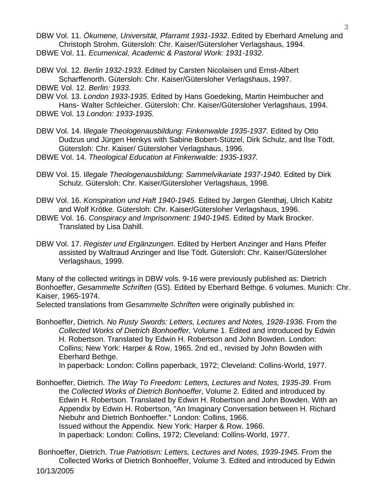- DBW Vol. 11. *Ökumene, Universität, Pfarramt 1931-1932*. Edited by Eberhard Amelung and Christoph Strohm. Gütersloh: Chr. Kaiser/Gütersloher Verlagshaus, 1994. DBWE Vol. 11. *Ecumenical, Academic & Pastoral Work: 1931-1932*.
- DBW Vol. 12. *Berlin 1932-1933*. Edited by Carsten Nicolaisen und Ernst-Albert Scharffenorth. Gütersloh: Chr. Kaiser/Gütersloher Verlagshaus, 1997.

DBWE Vol. 12. *Berlin: 1933*.

- DBW Vol. 13. *London 1933-1935*. Edited by Hans Goedeking, Martin Heimbucher and Hans- Walter Schleicher. Gütersloh: Chr. Kaiser/Gütersloher Verlagshaus, 1994. DBWE Vol. 13 *London: 1933-1935*.
- DBW Vol. 14. I*llegale Theologenausbildung: Finkenwalde 1935-1937*. Edited by Otto Dudzus und Jürgen Henkys with Sabine Bobert-Stützel, Dirk Schulz, and Ilse Tödt. Gütersloh: Chr. Kaiser/ Gütersloher Verlagshaus, 1996.
- DBWE Vol. 14. *Theological Education at Finkenwalde: 1935-1937.*
- DBW Vol. 15. I*llegale Theologenausbildung: Sammelvikariate 1937-1940.* Edited by Dirk Schulz. Gütersloh: Chr. Kaiser/Gütersloher Verlagshaus, 1998.
- DBW Vol. 16. *Konspiration und Haft 1940-1945.* Edited by Jørgen Glenthøj, Ulrich Kabitz and Wolf Krötke. Gütersloh: Chr. Kaiser/Gütersloher Verlagshaus, 1996.
- DBWE Vol. 16. *Conspiracy and Imprisonment: 1940-1945*. Edited by Mark Brocker. Translated by Lisa Dahill.
- DBW Vol. 17. *Register und Ergänzungen*. Edited by Herbert Anzinger and Hans Pfeifer assisted by Waltraud Anzinger and Ilse Tödt. Gütersloh: Chr. Kaiser/Gütersloher Verlagshaus, 1999.

Many of the collected writings in DBW vols. 9-16 were previously published as: Dietrich Bonhoeffer, *Gesammelte Schriften* (GS). Edited by Eberhard Bethge. 6 volumes. Munich: Chr. Kaiser, 1965-1974.

Selected translations from *Gesammelte Schriften* were originally published in:

Bonhoeffer, Dietrich. *No Rusty Swords: Letters, Lectures and Notes, 1928-1936*. From the *Collected Works of Dietrich Bonhoeffer*, Volume 1. Edited and introduced by Edwin H. Robertson. Translated by Edwin H. Robertson and John Bowden. London: Collins; New York: Harper & Row, 1965. 2nd ed., revised by John Bowden with Eberhard Bethge.

In paperback: London: Collins paperback, 1972; Cleveland: Collins-World, 1977.

Bonhoeffer, Dietrich. *The Way To Freedom: Letters, Lectures and Notes, 1935-39*. From the *Collected Works of Dietrich Bonhoeffer*, Volume 2. Edited and introduced by Edwin H. Robertson. Translated by Edwin H. Robertson and John Bowden. With an Appendix by Edwin H. Robertson, "An Imaginary Conversation between H. Richard Niebuhr and Dietrich Bonhoeffer." London: Collins, 1966. Issued without the Appendix. New York: Harper & Row. 1966. In paperback: London: Collins, 1972; Cleveland: Collins-World, 1977.

10/13/2005 Bonhoeffer, Dietrich. *True Patriotism: Letters, Lectures and Notes, 1939-1945*. From the Collected Works of Dietrich Bonhoeffer, Volume 3. Edited and introduced by Edwin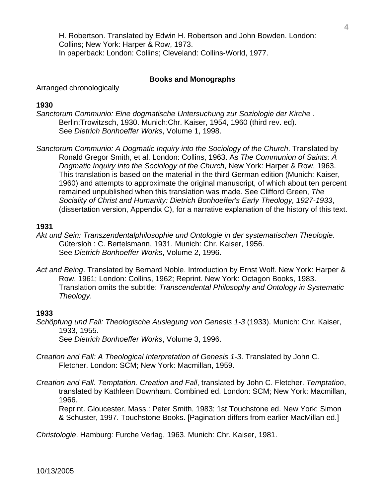H. Robertson. Translated by Edwin H. Robertson and John Bowden. London: Collins; New York: Harper & Row, 1973. In paperback: London: Collins; Cleveland: Collins-World, 1977.

### **Books and Monographs**

Arranged chronologically

### **1930**

- *Sanctorum Communio: Eine dogmatische Untersuchung zur Soziologie der Kirche* . Berlin:Trowitzsch, 1930. Munich:Chr. Kaiser, 1954, 1960 (third rev. ed). See *Dietrich Bonhoeffer Works*, Volume 1, 1998.
- *Sanctorum Communio: A Dogmatic Inquiry into the Sociology of the Church*. Translated by Ronald Gregor Smith, et al. London: Collins, 1963. As *The Communion of Saints: A Dogmatic Inquiry into the Sociology of the Church*, New York: Harper & Row, 1963. This translation is based on the material in the third German edition (Munich: Kaiser, 1960) and attempts to approximate the original manuscript, of which about ten percent remained unpublished when this translation was made. See Clifford Green, *The Sociality of Christ and Humanity: Dietrich Bonhoeffer's Early Theology, 1927-1933*, (dissertation version, Appendix C), for a narrative explanation of the history of this text.

### **1931**

- *Akt und Sein: Transzendentalphilosophie und Ontologie in der systematischen Theologie*. Gütersloh : C. Bertelsmann, 1931. Munich: Chr. Kaiser, 1956. See *Dietrich Bonhoeffer Works*, Volume 2, 1996.
- *Act and Being*. Translated by Bernard Noble. Introduction by Ernst Wolf. New York: Harper & Row, 1961; London: Collins, 1962; Reprint. New York: Octagon Books, 1983. Translation omits the subtitle: *Transcendental Philosophy and Ontology in Systematic Theology*.

### **1933**

- *Schöpfung und Fall: Theologische Auslegung von Genesis 1-3* (1933). Munich: Chr. Kaiser, 1933, 1955. See *Dietrich Bonhoeffer Works*, Volume 3, 1996.
- *Creation and Fall: A Theological Interpretation of Genesis 1-3*. Translated by John C. Fletcher. London: SCM; New York: Macmillan, 1959.
- *Creation and Fall. Temptation. Creation and Fall*, translated by John C. Fletcher. *Temptation*, translated by Kathleen Downham. Combined ed. London: SCM; New York: Macmillan, 1966.

 Reprint. Gloucester, Mass.: Peter Smith, 1983; 1st Touchstone ed. New York: Simon & Schuster, 1997. Touchstone Books. [Pagination differs from earlier MacMillan ed.]

*Christologie*. Hamburg: Furche Verlag, 1963. Munich: Chr. Kaiser, 1981.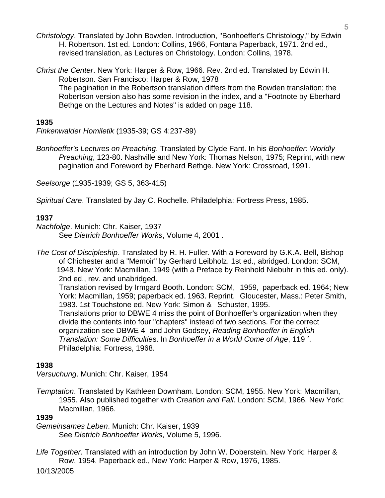- *Christology*. Translated by John Bowden. Introduction, "Bonhoeffer's Christology," by Edwin H. Robertson. 1st ed. London: Collins, 1966, Fontana Paperback, 1971. 2nd ed., revised translation, as Lectures on Christology. London: Collins, 1978.
- *Christ the Center*. New York: Harper & Row, 1966. Rev. 2nd ed. Translated by Edwin H. Robertson. San Francisco: Harper & Row, 1978 The pagination in the Robertson translation differs from the Bowden translation; the Robertson version also has some revision in the index, and a "Footnote by Eberhard Bethge on the Lectures and Notes" is added on page 118.

### **1935**

*Finkenwalder Homiletik* (1935-39; GS 4:237-89)

*Bonhoeffer's Lectures on Preaching*. Translated by Clyde Fant. In his *Bonhoeffer: Worldly Preaching*, 123-80. Nashville and New York: Thomas Nelson, 1975; Reprint, with new pagination and Foreword by Eberhard Bethge. New York: Crossroad, 1991.

*Seelsorge* (1935-1939; GS 5, 363-415)

*Spiritual Care*. Translated by Jay C. Rochelle. Philadelphia: Fortress Press, 1985.

## **1937**

*Nachfolge*. Munich: Chr. Kaiser, 1937 See *Dietrich Bonhoeffer Works*, Volume 4, 2001 .

*The Cost of Discipleship.* Translated by R. H. Fuller. With a Foreword by G.K.A. Bell, Bishop of Chichester and a "Memoir" by Gerhard Leibholz. 1st ed., abridged. London: SCM, 1948. New York: Macmillan, 1949 (with a Preface by Reinhold Niebuhr in this ed. only). 2nd ed., rev. and unabridged. Translation revised by Irmgard Booth. London: SCM, 1959, paperback ed. 1964; New York: Macmillan, 1959; paperback ed. 1963. Reprint. Gloucester, Mass.: Peter Smith, 1983. 1st Touchstone ed. New York: Simon & Schuster, 1995.

 Translations prior to DBWE 4 miss the point of Bonhoeffer's organization when they divide the contents into four "chapters" instead of two sections. For the correct organization see DBWE 4 and John Godsey, *Reading Bonhoeffer in English Translation: Some Difficultie*s. In *Bonhoeffer in a World Come of Age*, 119 f. Philadelphia: Fortress, 1968.

## **1938**

*Versuchung*. Munich: Chr. Kaiser, 1954

*Temptation*. Translated by Kathleen Downham. London: SCM, 1955. New York: Macmillan, 1955. Also published together with *Creation and Fall*. London: SCM, 1966. New York: Macmillan, 1966.

### **1939**

*Gemeinsames Leben*. Munich: Chr. Kaiser, 1939 See *Dietrich Bonhoeffer Works*, Volume 5, 1996.

*Life Together*. Translated with an introduction by John W. Doberstein. New York: Harper & Row, 1954. Paperback ed., New York: Harper & Row, 1976, 1985.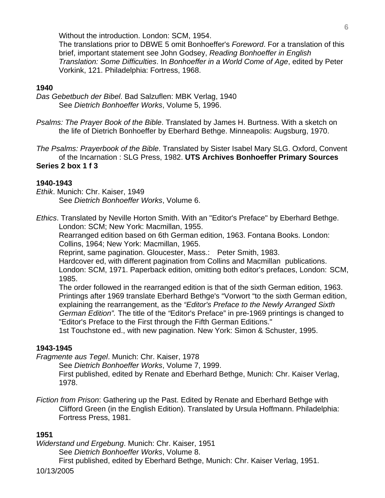Without the introduction. London: SCM, 1954.

 The translations prior to DBWE 5 omit Bonhoeffer's *Foreword*. For a translation of this brief, important statement see John Godsey, *Reading Bonhoeffer in English Translation: Some Difficulties*. In *Bonhoeffer in a World Come of Age*, edited by Peter Vorkink, 121. Philadelphia: Fortress, 1968.

### **1940**

*Das Gebetbuch der Bibel*. Bad Salzuflen: MBK Verlag, 1940 See *Dietrich Bonhoeffer Works*, Volume 5, 1996.

*Psalms: The Prayer Book of the Bible*. Translated by James H. Burtness. With a sketch on the life of Dietrich Bonhoeffer by Eberhard Bethge. Minneapolis: Augsburg, 1970.

*The Psalms: Prayerbook of the Bible*. Translated by Sister Isabel Mary SLG. Oxford, Convent of the Incarnation : SLG Press, 1982. **UTS Archives Bonhoeffer Primary Sources Series 2 box 1 f 3** 

### **1940-1943**

*Ethik*. Munich: Chr. Kaiser, 1949 See *Dietrich Bonhoeffer Works*, Volume 6.

*Ethics*. Translated by Neville Horton Smith. With an "Editor's Preface" by Eberhard Bethge. London: SCM; New York: Macmillan, 1955.

 Rearranged edition based on 6th German edition, 1963. Fontana Books. London: Collins, 1964; New York: Macmillan, 1965.

Reprint, same pagination. Gloucester, Mass.: Peter Smith, 1983.

 Hardcover ed, with different pagination from Collins and Macmillan publications. London: SCM, 1971. Paperback edition, omitting both editor's prefaces, London: SCM, 1985.

 The order followed in the rearranged edition is that of the sixth German edition, 1963. Printings after 1969 translate Eberhard Bethge's "Vorwort "to the sixth German edition, explaining the rearrangement, as the *"Editor's Preface to the Newly Arranged Sixth German Edition".* The title of the *"*Editor's Preface" in pre-1969 printings is changed to "Editor's Preface to the First through the Fifth German Editions."

1st Touchstone ed., with new pagination. New York: Simon & Schuster, 1995.

### **1943-1945**

*Fragmente aus Tegel*. Munich: Chr. Kaiser, 1978

See *Dietrich Bonhoeffer Works*, Volume 7, 1999.

 First published, edited by Renate and Eberhard Bethge, Munich: Chr. Kaiser Verlag, 1978.

*Fiction from Prison*: Gathering up the Past. Edited by Renate and Eberhard Bethge with Clifford Green (in the English Edition). Translated by Ursula Hoffmann. Philadelphia: Fortress Press, 1981.

### **1951**

*Widerstand und Ergebung*. Munich: Chr. Kaiser, 1951

See *Dietrich Bonhoeffer Works*, Volume 8.

First published, edited by Eberhard Bethge, Munich: Chr. Kaiser Verlag, 1951.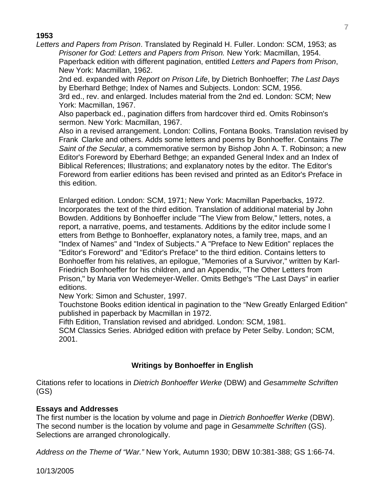### **1953**

*Letters and Papers from Prison*. Translated by Reginald H. Fuller. London: SCM, 1953; as *Prisoner for God: Letters and Papers from Prison.* New York: Macmillan, 1954. Paperback edition with different pagination, entitled *Letters and Papers from Prison*, New York: Macmillan, 1962.

 2nd ed. expanded with *Report on Prison Life*, by Dietrich Bonhoeffer; *The Last Days* by Eberhard Bethge; Index of Names and Subjects. London: SCM, 1956.

 3rd ed., rev. and enlarged. Includes material from the 2nd ed. London: SCM; New York: Macmillan, 1967.

 Also paperback ed., pagination differs from hardcover third ed. Omits Robinson's sermon. New York: Macmillan, 1967.

 Also in a revised arrangement. London: Collins, Fontana Books. Translation revised by Frank Clarke and others. Adds some letters and poems by Bonhoeffer. Contains *The Saint of the Secular*, a commemorative sermon by Bishop John A. T. Robinson; a new Editor's Foreword by Eberhard Bethge; an expanded General Index and an Index of Biblical References; Illustrations; and explanatory notes by the editor. The Editor's Foreword from earlier editions has been revised and printed as an Editor's Preface in this edition.

 Enlarged edition. London: SCM, 1971; New York: Macmillan Paperbacks, 1972. Incorporates the text of the third edition. Translation of additional material by John Bowden. Additions by Bonhoeffer include "The View from Below," letters, notes, a report, a narrative, poems, and testaments. Additions by the editor include some l etters from Bethge to Bonhoeffer, explanatory notes, a family tree, maps, and an "Index of Names" and "Index of Subjects." A "Preface to New Edition" replaces the "Editor's Foreword" and "Editor's Preface" to the third edition. Contains letters to Bonhoeffer from his relatives, an epilogue, "Memories of a Survivor," written by Karl- Friedrich Bonhoeffer for his children, and an Appendix, "The Other Letters from Prison," by Maria von Wedemeyer-Weller. Omits Bethge's "The Last Days" in earlier editions.

New York: Simon and Schuster, 1997.

 Touchstone Books edition identical in pagination to the "New Greatly Enlarged Edition" published in paperback by Macmillan in 1972.

Fifth Edition, Translation revised and abridged. London: SCM, 1981.

 SCM Classics Series. Abridged edition with preface by Peter Selby. London; SCM, 2001.

## **Writings by Bonhoeffer in English**

Citations refer to locations in *Dietrich Bonhoeffer Werke* (DBW) and *Gesammelte Schriften* (GS)

## **Essays and Addresses**

The first number is the location by volume and page in *Dietrich Bonhoeffer Werke* (DBW). The second number is the location by volume and page in *Gesammelte Schriften* (GS). Selections are arranged chronologically.

*Address on the Theme of "War."* New York, Autumn 1930; DBW 10:381-388; GS 1:66-74.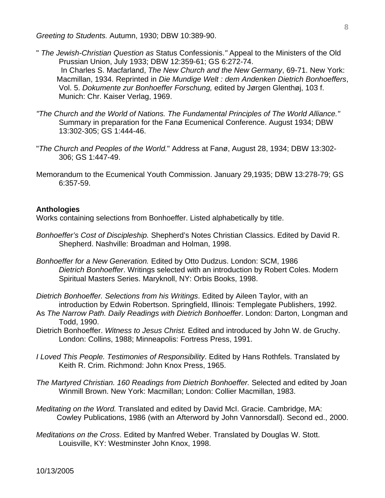*Greeting to Students.* Autumn, 1930; DBW 10:389-90.

- " *The Jewish-Christian Question as* Status Confessionis.*"* Appeal to the Ministers of the Old Prussian Union, July 1933; DBW 12:359-61; GS 6:272-74. In Charles S. Macfarland, *The New Church and the New Germany*, 69-71. New York: Macmillan, 1934. Reprinted in *Die Mundige Welt : dem Andenken Dietrich Bonhoeffers*, Vol. 5. *Dokumente zur Bonhoeffer Forschung,* edited by Jørgen Glenthøj, 103 f. Munich: Chr. Kaiser Verlag, 1969.
- *"The Church and the World of Nations. The Fundamental Principles of The World Alliance."*  Summary in preparation for the Fanø Ecumenical Conference. August 1934; DBW 13:302-305; GS 1:444-46.
- "*The Church and Peoples of the World.*" Address at Fanø, August 28, 1934; DBW 13:302- 306; GS 1:447-49.
- Memorandum to the Ecumenical Youth Commission. January 29,1935; DBW 13:278-79; GS 6:357-59.

### **Anthologies**

Works containing selections from Bonhoeffer. Listed alphabetically by title.

- *Bonhoeffer's Cost of Discipleship.* Shepherd's Notes Christian Classics. Edited by David R. Shepherd. Nashville: Broadman and Holman, 1998.
- *Bonhoeffer for a New Generation.* Edited by Otto Dudzus. London: SCM, 1986  *Dietrich Bonhoeffer*. Writings selected with an introduction by Robert Coles. Modern Spiritual Masters Series. Maryknoll, NY: Orbis Books, 1998.
- *Dietrich Bonhoeffer. Selections from his Writings*. Edited by Aileen Taylor, with an introduction by Edwin Robertson. Springfield, Illinois: Templegate Publishers, 1992.
- As *The Narrow Path. Daily Readings with Dietrich Bonhoeffer*. London: Darton, Longman and Todd, 1990.
- Dietrich Bonhoeffer. *Witness to Jesus Christ.* Edited and introduced by John W. de Gruchy. London: Collins, 1988; Minneapolis: Fortress Press, 1991.
- *I Loved This People. Testimonies of Responsibility*. Edited by Hans Rothfels. Translated by Keith R. Crim. Richmond: John Knox Press, 1965.
- *The Martyred Christian. 160 Readings from Dietrich Bonhoeffer.* Selected and edited by Joan Winmill Brown. New York: Macmillan; London: Collier Macmillan, 1983.
- *Meditating on the Word.* Translated and edited by David McI. Gracie. Cambridge, MA: Cowley Publications, 1986 (with an Afterword by John Vannorsdall). Second ed., 2000.
- *Meditations on the Cross*. Edited by Manfred Weber. Translated by Douglas W. Stott. Louisville, KY: Westminster John Knox, 1998.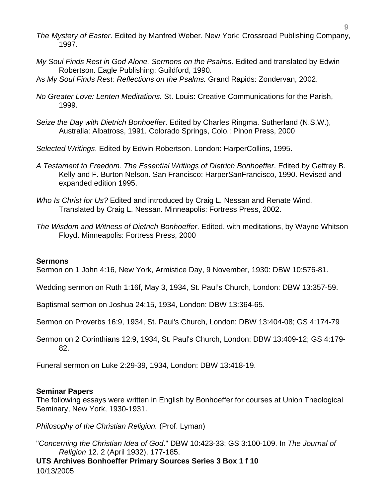- *The Mystery of Easter*. Edited by Manfred Weber. New York: Crossroad Publishing Company, 1997.
- *My Soul Finds Rest in God Alone. Sermons on the Psalms*. Edited and translated by Edwin Robertson. Eagle Publishing: Guildford, 1990.
- As *My Soul Finds Rest: Reflections on the Psalms.* Grand Rapids: Zondervan, 2002.
- *No Greater Love: Lenten Meditations.* St. Louis: Creative Communications for the Parish, 1999.
- *Seize the Day with Dietrich Bonhoeffer*. Edited by Charles Ringma. Sutherland (N.S.W.), Australia: Albatross, 1991. Colorado Springs, Colo.: Pinon Press, 2000
- *Selected Writings*. Edited by Edwin Robertson. London: HarperCollins, 1995.
- *A Testament to Freedom. The Essential Writings of Dietrich Bonhoeffer*. Edited by Geffrey B. Kelly and F. Burton Nelson. San Francisco: HarperSanFrancisco, 1990. Revised and expanded edition 1995.
- *Who Is Christ for Us?* Edited and introduced by Craig L. Nessan and Renate Wind. Translated by Craig L. Nessan. Minneapolis: Fortress Press, 2002.
- *The Wisdom and Witness of Dietrich Bonhoeffer*. Edited, with meditations, by Wayne Whitson Floyd. Minneapolis: Fortress Press, 2000

### **Sermons**

Sermon on 1 John 4:16, New York, Armistice Day, 9 November, 1930: DBW 10:576-81.

Wedding sermon on Ruth 1:16f, May 3, 1934, St. Paul's Church, London: DBW 13:357-59.

Baptismal sermon on Joshua 24:15, 1934, London: DBW 13:364-65.

Sermon on Proverbs 16:9, 1934, St. Paul's Church, London: DBW 13:404-08; GS 4:174-79

Sermon on 2 Corinthians 12:9, 1934, St. Paul's Church, London: DBW 13:409-12; GS 4:179- 82.

Funeral sermon on Luke 2:29-39, 1934, London: DBW 13:418-19.

### **Seminar Papers**

The following essays were written in English by Bonhoeffer for courses at Union Theological Seminary, New York, 1930-1931.

*Philosophy of the Christian Religion.* (Prof. Lyman)

"*Concerning the Christian Idea of God*." DBW 10:423-33; GS 3:100-109. In *The Journal of Religion* 12. 2 (April 1932), 177-185.

10/13/2005 **UTS Archives Bonhoeffer Primary Sources Series 3 Box 1 f 10**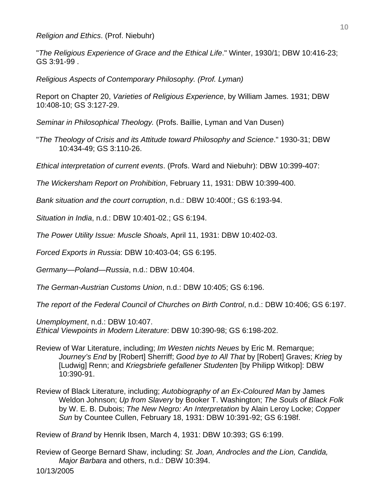*Religion and Ethics*. (Prof. Niebuhr)

"*The Religious Experience of Grace and the Ethical Life*." Winter, 1930/1; DBW 10:416-23; GS 3:91-99 .

*Religious Aspects of Contemporary Philosophy. (Prof. Lyman)* 

Report on Chapter 20, *Varieties of Religious Experience*, by William James. 1931; DBW 10:408-10; GS 3:127-29.

*Seminar in Philosophical Theology.* (Profs. Baillie, Lyman and Van Dusen)

"*The Theology of Crisis and its Attitude toward Philosophy and Science*." 1930-31; DBW 10:434-49; GS 3:110-26.

*Ethical interpretation of current events*. (Profs. Ward and Niebuhr): DBW 10:399-407:

*The Wickersham Report on Prohibition*, February 11, 1931: DBW 10:399-400.

*Bank situation and the court corruption*, n.d.: DBW 10:400f.; GS 6:193-94.

*Situation in India*, n.d.: DBW 10:401-02.; GS 6:194.

*The Power Utility Issue: Muscle Shoals*, April 11, 1931: DBW 10:402-03.

*Forced Exports in Russia*: DBW 10:403-04; GS 6:195.

*Germany—Poland—Russia*, n.d.: DBW 10:404.

*The German-Austrian Customs Union*, n.d.: DBW 10:405; GS 6:196.

*The report of the Federal Council of Churches on Birth Control*, n.d.: DBW 10:406; GS 6:197.

*Unemployment*, n.d.: DBW 10:407. *Ethical Viewpoints in Modern Literature*: DBW 10:390-98; GS 6:198-202.

- Review of War Literature, including; *Im Westen nichts Neues* by Eric M. Remarque; *Journey's End* by [Robert] Sherriff; *Good bye to All That* by [Robert] Graves; *Krieg* by [Ludwig] Renn; and *Kriegsbriefe gefallener Studenten* [by Philipp Witkop]: DBW 10:390-91.
- Review of Black Literature, including; *Autobiography of an Ex-Coloured Man* by James Weldon Johnson; *Up from Slavery* by Booker T. Washington; *The Souls of Black Folk* by W. E. B. Dubois; *The New Negro: An Interpretation* by Alain Leroy Locke; *Copper Sun* by Countee Cullen, February 18, 1931: DBW 10:391-92; GS 6:198f.

Review of *Brand* by Henrik Ibsen, March 4, 1931: DBW 10:393; GS 6:199.

Review of George Bernard Shaw, including: *St. Joan, Androcles and the Lion, Candida, Major Barbara* and others, n.d.: DBW 10:394.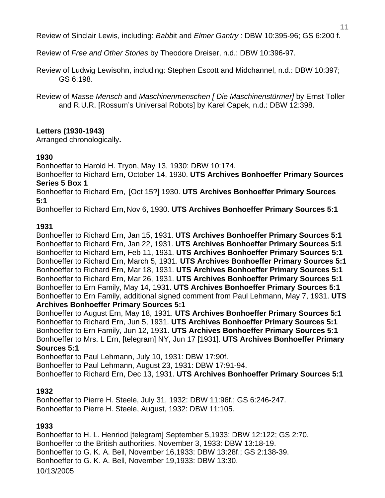Review of Sinclair Lewis, including: *Babb*it and *Elmer Gantry* : DBW 10:395-96; GS 6:200 f.

Review of *Free and Other Stories* by Theodore Dreiser, n.d.: DBW 10:396-97.

Review of Ludwig Lewisohn, including: Stephen Escott and Midchannel, n.d.: DBW 10:397; GS 6:198.

Review of *Masse Mensch* and *Maschinenmenschen [ Die Maschinenstürmer]* by Ernst Toller and R.U.R. [Rossum's Universal Robots] by Karel Capek, n.d.: DBW 12:398.

### **Letters (1930-1943)**

Arranged chronologically**.** 

### **1930**

Bonhoeffer to Harold H. Tryon, May 13, 1930: DBW 10:174.

Bonhoeffer to Richard Ern, October 14, 1930. **UTS Archives Bonhoeffer Primary Sources Series 5 Box 1** 

Bonhoeffer to Richard Ern, [Oct 15?] 1930. **UTS Archives Bonhoeffer Primary Sources 5:1** 

Bonhoeffer to Richard Ern, Nov 6, 1930. **UTS Archives Bonhoeffer Primary Sources 5:1** 

### **1931**

Bonhoeffer to Richard Ern, Jan 15, 1931. **UTS Archives Bonhoeffer Primary Sources 5:1**  Bonhoeffer to Richard Ern, Jan 22, 1931. **UTS Archives Bonhoeffer Primary Sources 5:1**  Bonhoeffer to Richard Ern, Feb 11, 1931. **UTS Archives Bonhoeffer Primary Sources 5:1**  Bonhoeffer to Richard Ern, March 5, 1931. **UTS Archives Bonhoeffer Primary Sources 5:1**  Bonhoeffer to Richard Ern, Mar 18, 1931. **UTS Archives Bonhoeffer Primary Sources 5:1**  Bonhoeffer to Richard Ern, Mar 26, 1931. **UTS Archives Bonhoeffer Primary Sources 5:1**  Bonhoeffer to Ern Family, May 14, 1931. **UTS Archives Bonhoeffer Primary Sources 5:1**  Bonhoeffer to Ern Family, additional signed comment from Paul Lehmann, May 7, 1931. **UTS Archives Bonhoeffer Primary Sources 5:1** 

Bonhoeffer to August Ern, May 18, 1931. **UTS Archives Bonhoeffer Primary Sources 5:1**  Bonhoeffer to Richard Ern, Jun 5, 1931. **UTS Archives Bonhoeffer Primary Sources 5:1**  Bonhoeffer to Ern Family, Jun 12, 1931. **UTS Archives Bonhoeffer Primary Sources 5:1**  Bonhoeffer to Mrs. L Ern, [telegram] NY, Jun 17 [1931]. **UTS Archives Bonhoeffer Primary Sources 5:1** 

Bonhoeffer to Paul Lehmann, July 10, 1931: DBW 17:90f.

Bonhoeffer to Paul Lehmann, August 23, 1931: DBW 17:91-94.

Bonhoeffer to Richard Ern, Dec 13, 1931. **UTS Archives Bonhoeffer Primary Sources 5:1** 

### **1932**

Bonhoeffer to Pierre H. Steele, July 31, 1932: DBW 11:96f.; GS 6:246-247. Bonhoeffer to Pierre H. Steele, August, 1932: DBW 11:105.

### **1933**

10/13/2005 Bonhoeffer to H. L. Henriod [telegram] September 5,1933: DBW 12:122; GS 2:70. Bonhoeffer to the British authorities, November 3, 1933: DBW 13:18-19. Bonhoeffer to G. K. A. Bell, November 16,1933: DBW 13:28f.; GS 2:138-39. Bonhoeffer to G. K. A. Bell, November 19,1933: DBW 13:30.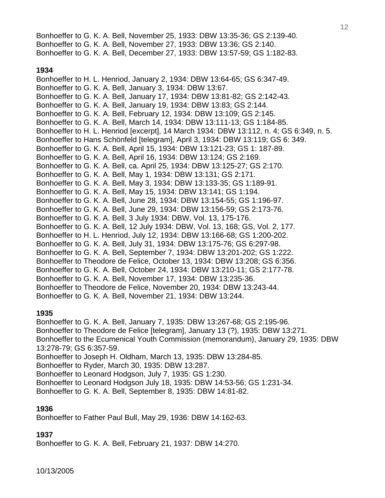Bonhoeffer to G. K. A. Bell, November 25, 1933: DBW 13:35-36; GS 2:139-40. Bonhoeffer to G. K. A. Bell, November 27, 1933: DBW 13:36; GS 2:140. Bonhoeffer to G. K. A. Bell, December 27, 1933: DBW 13:57-59; GS 1:182-83.

### **1934**

Bonhoeffer to H. L. Henriod, January 2, 1934: DBW 13:64-65; GS 6:347-49. Bonhoeffer to G. K. A. Bell, January 3, 1934: DBW 13:67. Bonhoeffer to G. K. A. Bell, January 17, 1934: DBW 13:81-82; GS 2:142-43. Bonhoeffer to G. K. A. Bell, January 19, 1934: DBW 13:83; GS 2:144. Bonhoeffer to G. K. A. Bell, February 12, 1934: DBW 13:109; GS 2:145. Bonhoeffer to G. K. A. Bell, March 14, 1934: DBW 13:111-13; GS 1:184-85. Bonhoeffer to H. L. Henriod [excerpt], 14 March 1934: DBW 13:112, n. 4; GS 6:349, n. 5. Bonhoeffer to Hans Schönfeld [telegram], April 3, 1934: DBW 13:119; GS 6: 349. Bonhoeffer to G. K. A. Bell, April 15, 1934: DBW 13:121-23; GS 1: 187-89. Bonhoeffer to G. K. A. Bell, April 16, 1934: DBW 13:124; GS 2:169. Bonhoeffer to G. K. A. Bell, ca. April 25, 1934: DBW 13:125-27; GS 2:170. Bonhoeffer to G. K. A. Bell, May 1, 1934: DBW 13:131; GS 2:171. Bonhoeffer to G. K. A. Bell, May 3, 1934: DBW 13:133-35; GS 1:189-91. Bonhoeffer to G. K. A. Bell, May 15, 1934: DBW 13:141; GS 1:194. Bonhoeffer to G. K. A. Bell, June 28, 1934: DBW 13:154-55; GS 1:196-97. Bonhoeffer to G. K. A. Bell, June 29, 1934: DBW 13:156-59; GS 2:173-76. Bonhoeffer to G. K. A. Bell, 3 July 1934: DBW, Vol. 13, 175-176. Bonhoeffer to G. K. A. Bell, 12 July 1934: DBW, Vol. 13, 168; GS, Vol. 2, 177. Bonhoeffer to H. L. Henriod, July 12, 1934: DBW 13:166-68; GS 1:200-202. Bonhoeffer to G. K. A. Bell, July 31, 1934: DBW 13:175-76; GS 6:297-98. Bonhoeffer to G. K. A. Bell, September 7, 1934: DBW 13:201-202; GS 1:222. Bonhoeffer to Theodore de Felice, October 13, 1934: DBW 13:208; GS 6:356. Bonhoeffer to G. K. A. Bell, October 24, 1934: DBW 13:210-11; GS 2:177-78. Bonhoeffer to G. K. A. Bell, November 17, 1934: DBW 13:235-36. Bonhoeffer to Theodore de Felice, November 20, 1934: DBW 13:243-44. Bonhoeffer to G. K. A. Bell, November 21, 1934: DBW 13:244.

## **1935**

Bonhoeffer to G. K. A. Bell, January 7, 1935: DBW 13:267-68; GS 2:195-96. Bonhoeffer to Theodore de Felice [telegram], January 13 (?), 1935: DBW 13:271. Bonhoeffer to the Ecumenical Youth Commission (memorandum), January 29, 1935: DBW 13:278-79; GS 6:357-59. Bonhoeffer to Joseph H. Oldham, March 13, 1935: DBW 13:284-85. Bonhoeffer to Ryder, March 30, 1935: DBW 13:287. Bonhoeffer to Leonard Hodgson, July 7, 1935: GS 1:230.

Bonhoeffer to Leonard Hodgson July 18, 1935: DBW 14:53-56; GS 1:231-34.

Bonhoeffer to G. K. A. Bell, September 8, 1935: DBW 14:81-82.

## **1936**

Bonhoeffer to Father Paul Bull, May 29, 1936: DBW 14:162-63.

## **1937**

Bonhoeffer to G. K. A. Bell, February 21, 1937: DBW 14:270.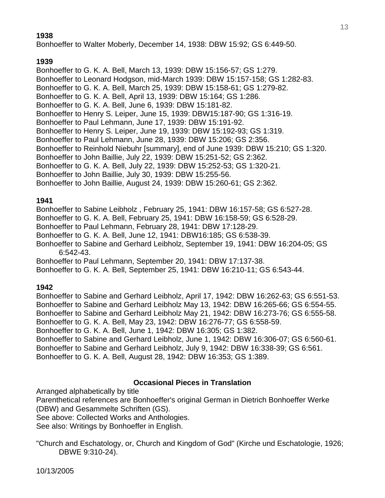## **1938**

Bonhoeffer to Walter Moberly, December 14, 1938: DBW 15:92; GS 6:449-50.

## **1939**

Bonhoeffer to G. K. A. Bell, March 13, 1939: DBW 15:156-57; GS 1:279. Bonhoeffer to Leonard Hodgson, mid-March 1939: DBW 15:157-158; GS 1:282-83. Bonhoeffer to G. K. A. Bell, March 25, 1939: DBW 15:158-61; GS 1:279-82. Bonhoeffer to G. K. A. Bell, April 13, 1939: DBW 15:164; GS 1:286. Bonhoeffer to G. K. A. Bell, June 6, 1939: DBW 15:181-82. Bonhoeffer to Henry S. Leiper, June 15, 1939: DBW15:187-90; GS 1:316-19. Bonhoeffer to Paul Lehmann, June 17, 1939: DBW 15:191-92. Bonhoeffer to Henry S. Leiper, June 19, 1939: DBW 15:192-93; GS 1:319. Bonhoeffer to Paul Lehmann, June 28, 1939: DBW 15:206; GS 2:356. Bonhoeffer to Reinhold Niebuhr [summary], end of June 1939: DBW 15:210; GS 1:320. Bonhoeffer to John Baillie, July 22, 1939: DBW 15:251-52; GS 2:362. Bonhoeffer to G. K. A. Bell, July 22, 1939: DBW 15:252-53; GS 1:320-21. Bonhoeffer to John Baillie, July 30, 1939: DBW 15:255-56. Bonhoeffer to John Baillie, August 24, 1939: DBW 15:260-61; GS 2:362.

## **1941**

Bonhoeffer to Sabine Leibholz , February 25, 1941: DBW 16:157-58; GS 6:527-28.

Bonhoeffer to G. K. A. Bell, February 25, 1941: DBW 16:158-59; GS 6:528-29.

Bonhoeffer to Paul Lehmann, February 28, 1941: DBW 17:128-29.

Bonhoeffer to G. K. A. Bell, June 12, 1941: DBW16:185; GS 6:538-39.

Bonhoeffer to Sabine and Gerhard Leibholz, September 19, 1941: DBW 16:204-05; GS 6:542-43.

Bonhoeffer to Paul Lehmann, September 20, 1941: DBW 17:137-38.

Bonhoeffer to G. K. A. Bell, September 25, 1941: DBW 16:210-11; GS 6:543-44.

## **1942**

Bonhoeffer to Sabine and Gerhard Leibholz, April 17, 1942: DBW 16:262-63; GS 6:551-53. Bonhoeffer to Sabine and Gerhard Leibholz May 13, 1942: DBW 16:265-66; GS 6:554-55. Bonhoeffer to Sabine and Gerhard Leibholz May 21, 1942: DBW 16:273-76; GS 6:555-58. Bonhoeffer to G. K. A. Bell, May 23, 1942: DBW 16:276-77; GS 6:558-59.

Bonhoeffer to G. K. A. Bell, June 1, 1942: DBW 16:305; GS 1:382.

Bonhoeffer to Sabine and Gerhard Leibholz, June 1, 1942: DBW 16:306-07; GS 6:560-61. Bonhoeffer to Sabine and Gerhard Leibholz, July 9, 1942: DBW 16:338-39; GS 6:561. Bonhoeffer to G. K. A. Bell, August 28, 1942: DBW 16:353; GS 1:389.

### **Occasional Pieces in Translation**

Arranged alphabetically by title

Parenthetical references are Bonhoeffer's original German in Dietrich Bonhoeffer Werke (DBW) and Gesammelte Schriften (GS).

See above: Collected Works and Anthologies.

See also: Writings by Bonhoeffer in English.

"Church and Eschatology, or, Church and Kingdom of God" (Kirche und Eschatologie, 1926; DBWE 9:310-24).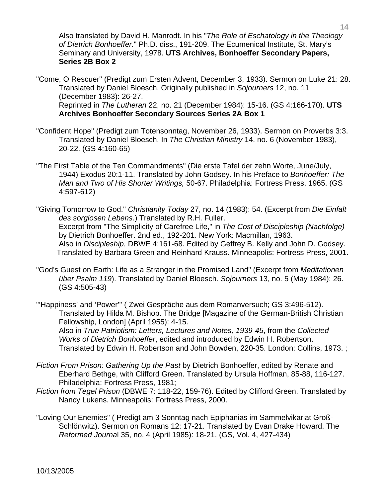Also translated by David H. Manrodt. In his "*The Role of Eschatology in the Theology of Dietrich Bonhoeffer.*" Ph.D. diss., 191-209. The Ecumenical Institute, St. Mary's Seminary and University, 1978. **UTS Archives, Bonhoeffer Secondary Papers, Series 2B Box 2**

- "Come, O Rescuer" (Predigt zum Ersten Advent, December 3, 1933). Sermon on Luke 21: 28. Translated by Daniel Bloesch. Originally published in *Sojourners* 12, no. 11 (December 1983): 26-27. Reprinted in *The Lutheran* 22, no. 21 (December 1984): 15-16. (GS 4:166-170). **UTS Archives Bonhoeffer Secondary Sources Series 2A Box 1**
- "Confident Hope" (Predigt zum Totensonntag, November 26, 1933). Sermon on Proverbs 3:3. Translated by Daniel Bloesch. In *The Christian Ministry* 14, no. 6 (November 1983), 20-22. (GS 4:160-65)
- "The First Table of the Ten Commandments" (Die erste Tafel der zehn Worte, June/July, 1944) Exodus 20:1-11. Translated by John Godsey. In his Preface to *Bonhoeffer: The Man and Two of His Shorter Writings,* 50-67. Philadelphia: Fortress Press, 1965. (GS 4:597-612)
- "Giving Tomorrow to God." *Christianity Today* 27, no. 14 (1983): 54. (Excerpt from *Die Einfalt des sorglosen Lebens.*) Translated by R.H. Fuller. Excerpt from "The Simplicity of Carefree Life," in *The Cost of Discipleship (Nachfolge)* by Dietrich Bonhoeffer. 2nd ed., 192-201. New York: Macmillan, 1963. Also in *Discipleship*, DBWE 4:161-68. Edited by Geffrey B. Kelly and John D. Godsey. Translated by Barbara Green and Reinhard Krauss. Minneapolis: Fortress Press, 2001.
- "God's Guest on Earth: Life as a Stranger in the Promised Land" (Excerpt from *Meditationen über Psalm 119*). Translated by Daniel Bloesch. *Sojourners* 13, no. 5 (May 1984): 26. (GS 4:505-43)

"'Happiness' and 'Power'" ( Zwei Gespräche aus dem Romanversuch; GS 3:496-512). Translated by Hilda M. Bishop. The Bridge [Magazine of the German-British Christian Fellowship, London] (April 1955): 4-15. Also in *True Patriotism: Letters, Lectures and Notes, 1939-45*, from the *Collected Works of Dietrich Bonhoeffer*, edited and introduced by Edwin H. Robertson. Translated by Edwin H. Robertson and John Bowden, 220-35. London: Collins, 1973. ;

- *Fiction From Prison: Gathering Up the Past* by Dietrich Bonhoeffer, edited by Renate and Eberhard Bethge, with Clifford Green. Translated by Ursula Hoffman, 85-88, 116-127. Philadelphia: Fortress Press, 1981;
- *Fiction from Tegel Prison* (DBWE 7: 118-22, 159-76). Edited by Clifford Green. Translated by Nancy Lukens. Minneapolis: Fortress Press, 2000.
- "Loving Our Enemies" ( Predigt am 3 Sonntag nach Epiphanias im Sammelvikariat Groß- Schlönwitz). Sermon on Romans 12: 17-21. Translated by Evan Drake Howard. The *Reformed Journa*l 35, no. 4 (April 1985): 18-21. (GS, Vol. 4, 427-434)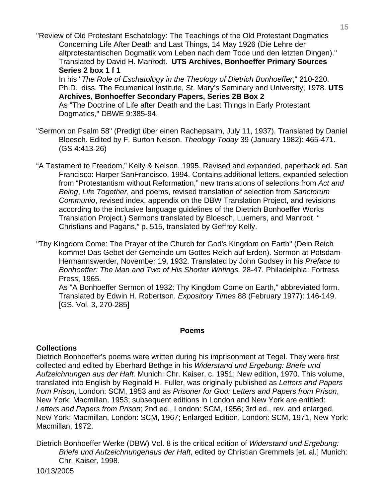"Review of Old Protestant Eschatology: The Teachings of the Old Protestant Dogmatics Concerning Life After Death and Last Things, 14 May 1926 (Die Lehre der altprotestantischen Dogmatik vom Leben nach dem Tode und den letzten Dingen)." Translated by David H. Manrodt. **UTS Archives, Bonhoeffer Primary Sources Series 2 box 1 f 1** 

 In his "*The Role of Eschatology in the Theology of Dietrich Bonhoeffer*," 210-220. Ph.D. diss. The Ecumenical Institute, St. Mary's Seminary and University, 1978. **UTS Archives, Bonhoeffer Secondary Papers, Series 2B Box 2** As "The Doctrine of Life after Death and the Last Things in Early Protestant Dogmatics," DBWE 9:385-94.

- "Sermon on Psalm 58" (Predigt über einen Rachepsalm, July 11, 1937). Translated by Daniel Bloesch. Edited by F. Burton Nelson. *Theology Today* 39 (January 1982): 465-471. (GS 4:413-26)
- "A Testament to Freedom," Kelly & Nelson, 1995. Revised and expanded, paperback ed. San Francisco: Harper SanFrancisco, 1994. Contains additional letters, expanded selection from "Protestantism without Reformation," new translations of selections from *Act and Being*, *Life Together*, and poems, revised translation of selection from *Sanctorum Communio*, revised index, appendix on the DBW Translation Project, and revisions according to the inclusive language guidelines of the Dietrich Bonhoeffer Works Translation Project.) Sermons translated by Bloesch, Luemers, and Manrodt. " Christians and Pagans," p. 515, translated by Geffrey Kelly.

"Thy Kingdom Come: The Prayer of the Church for God's Kingdom on Earth" (Dein Reich komme! Das Gebet der Gemeinde um Gottes Reich auf Erden). Sermon at Potsdam- Hermannswerder, November 19, 1932. Translated by John Godsey in his *Preface to Bonhoeffer: The Man and Two of His Shorter Writings,* 28-47. Philadelphia: Fortress Press, 1965.

 As "A Bonhoeffer Sermon of 1932: Thy Kingdom Come on Earth," abbreviated form. Translated by Edwin H. Robertson. *Expository Times* 88 (February 1977): 146-149. [GS, Vol. 3, 270-285]

### **Poems**

### **Collections**

Dietrich Bonhoeffer's poems were written during his imprisonment at Tegel. They were first collected and edited by Eberhard Bethge in his *Widerstand und Ergebung: Briefe und Aufzeichnungen aus der Haft.* Munich: Chr. Kaiser, c. 1951; New edition, 1970. This volume, translated into English by Reginald H. Fuller, was originally published as *Letters and Papers from Prison*, London: SCM, 1953 and as *Prisoner for God: Letters and Papers from Prison*, New York: Macmillan, 1953; subsequent editions in London and New York are entitled: *Letters and Papers from Prison*; 2nd ed., London: SCM, 1956; 3rd ed., rev. and enlarged, New York: Macmillan, London: SCM, 1967; Enlarged Edition, London: SCM, 1971, New York: Macmillan, 1972.

Dietrich Bonhoeffer Werke (DBW) Vol. 8 is the critical edition of *Widerstand und Ergebung: Briefe und Aufzeichnungenaus der Haft*, edited by Christian Gremmels [et. al.] Munich: Chr. Kaiser, 1998.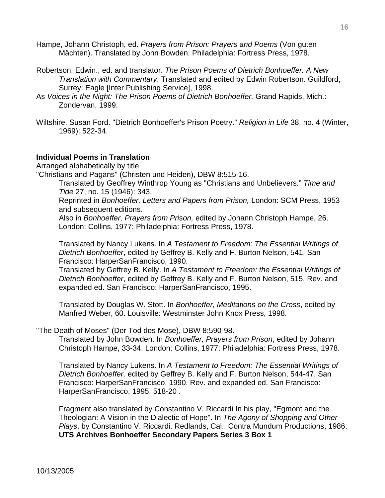- Hampe, Johann Christoph, ed. *Prayers from Prison: Prayers and Poems* (Von guten Mächten). Translated by John Bowden. Philadelphia: Fortress Press, 1978.
- Robertson, Edwin., ed. and translator. *The Prison Poems of Dietrich Bonhoeffer. A New Translation with Commentary*. Translated and edited by Edwin Robertson. Guildford, Surrey: Eagle [Inter Publishing Service], 1998.
- As *Voices in the Night: The Prison Poems of Dietrich Bonhoeffer.* Grand Rapids, Mich.: Zondervan, 1999.
- Wiltshire, Susan Ford. "Dietrich Bonhoeffer's Prison Poetry." *Religion in Life* 38, no. 4 (Winter, 1969): 522-34.

### **Individual Poems in Translation**

Arranged alphabetically by title

"Christians and Pagans" (Christen und Heiden), DBW 8:515-16.

 Translated by Geoffrey Winthrop Young as "Christians and Unbelievers." *Time and Tide* 27, no. 15 (1946): 343.

 Reprinted in *Bonhoeffer, Letters and Papers from Prison,* London: SCM Press, 1953 and subsequent editions.

 Also in *Bonhoeffer, Prayers from Prison,* edited by Johann Christoph Hampe, 26. London: Collins, 1977; Philadelphia: Fortress Press, 1978.

 Translated by Nancy Lukens. In *A Testament to Freedom: The Essential Writings of Dietrich Bonhoeffer*, edited by Geffrey B. Kelly and F. Burton Nelson, 541. San Francisco: HarperSanFrancisco, 1990.

 Translated by Geffrey B. Kelly. In *A Testament to Freedom: the Essential Writings of Dietrich Bonhoeffer*, edited by Geffrey B. Kelly and F. Burton Nelson, 515. Rev. and expanded ed. San Francisco: HarperSanFrancisco, 1995.

 Translated by Douglas W. Stott. In *Bonhoeffer, Meditations on the Cross*, edited by Manfred Weber, 60. Louisville: Westminster John Knox Press, 1998.

"The Death of Moses" (Der Tod des Mose), DBW 8:590-98.

 Translated by John Bowden. In *Bonhoeffer, Prayers from Prison*, edited by Johann Christoph Hampe, 33-34. London: Collins, 1977; Philadelphia: Fortress Press, 1978.

 Translated by Nancy Lukens. In *A Testament to Freedom: The Essential Writings of Dietrich Bonhoeffer,* edited by Geffrey B. Kelly and F. Burton Nelson, 544-47. San Francisco: HarperSanFrancisco, 1990. Rev. and expanded ed. San Francisco: HarperSanFrancisco, 1995, 518-20 .

 Fragment also translated by Constantino V. Riccardi In his play, "Egmont and the Theologian: A Vision in the Dialectic of Hope". In *The Agony of Shopping and Other Plays*, by Constantino V. Riccardi. Redlands, Cal.: Contra Mundum Productions, 1986. **UTS Archives Bonhoeffer Secondary Papers Series 3 Box 1**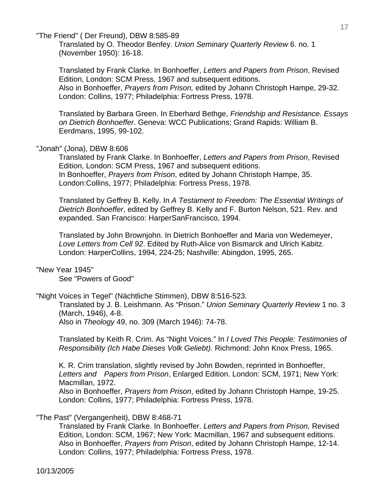"The Friend" ( Der Freund), DBW 8:585-89

 Translated by O. Theodor Benfey. *Union Seminary Quarterly Review* 6. no. 1 (November 1950): 16-18.

 Translated by Frank Clarke. In Bonhoeffer, *Letters and Papers from Prison*, Revised Edition, London: SCM Press, 1967 and subsequent editions. Also in Bonhoeffer, *Prayers from Prison,* edited by Johann Christoph Hampe, 29-32. London: Collins, 1977; Philadelphia: Fortress Press, 1978.

 Translated by Barbara Green. In Eberhard Bethge, *Friendship and Resistance. Essays on Dietrich Bonhoeffer*. Geneva: WCC Publications; Grand Rapids: William B. Eerdmans, 1995, 99-102.

### "Jonah" (Jona), DBW 8:606

 Translated by Frank Clarke. In Bonhoeffer, *Letters and Papers from Prison*, Revised Edition, London: SCM Press, 1967 and subsequent editions. In Bonhoeffer, *Prayers from Prison*, edited by Johann Christoph Hampe, 35. London:Collins, 1977; Philadelphia: Fortress Press, 1978.

 Translated by Geffrey B. Kelly. In *A Testament to Freedom: The Essential Writings of Dietrich Bonhoeffer*, edited by Geffrey B. Kelly and F. Burton Nelson, 521. Rev. and expanded. San Francisco: HarperSanFrancisco, 1994.

 Translated by John Brownjohn. In Dietrich Bonhoeffer and Maria von Wedemeyer, *Love Letters from Cell 92*. Edited by Ruth-Alice von Bismarck and Ulrich Kabitz. London: HarperCollins, 1994, 224-25; Nashville: Abingdon, 1995, 265.

### "New Year 1945"

See "Powers of Good"

# "Night Voices in Tegel" (Nächtliche Stimmen), DBW 8:516-523.

 Translated by J. B. Leishmann. As "Prison." *Union Seminary Quarterly Review* 1 no. 3 (March, 1946), 4-8. Also in *Theology* 49, no. 309 (March 1946): 74-78.

 Translated by Keith R. Crim. As "Night Voices." In *I Loved This People: Testimonies of Responsibility (Ich Habe Dieses Volk Geliebt)*. Richmond: John Knox Press, 1965.

 K. R. Crim translation, slightly revised by John Bowden, reprinted in Bonhoeffer,  *Letters and Papers from Prison*, Enlarged Edition. London: SCM, 1971; New York: Macmillan, 1972.

 Also in Bonhoeffer, *Prayers from Prison*, edited by Johann Christoph Hampe, 19-25. London: Collins, 1977; Philadelphia: Fortress Press, 1978.

### "The Past" (Vergangenheit), DBW 8:468-71

 Translated by Frank Clarke. In Bonhoeffer. *Letters and Papers from Prison,* Revised Edition, London: SCM, 1967; New York: Macmillan, 1967 and subsequent editions. Also in Bonhoeffer, *Prayers from Prison*, edited by Johann Christoph Hampe, 12-14. London: Collins, 1977; Philadelphia: Fortress Press, 1978.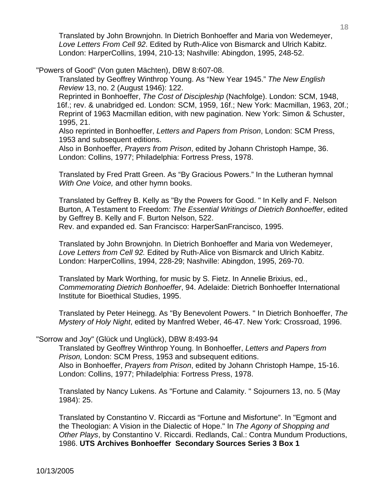Translated by John Brownjohn. In Dietrich Bonhoeffer and Maria von Wedemeyer, *Love Letters From Cell 92*. Edited by Ruth-Alice von Bismarck and Ulrich Kabitz. London: HarperCollins, 1994, 210-13; Nashville: Abingdon, 1995, 248-52.

"Powers of Good" (Von guten Mächten), DBW 8:607-08.

 Translated by Geoffrey Winthrop Young. As "New Year 1945." *The New English Review* 13, no. 2 (August 1946): 122.

 Reprinted in Bonhoeffer, *The Cost of Discipleship* (Nachfolge). London: SCM, 1948, 16f.; rev. & unabridged ed. London: SCM, 1959, 16f.; New York: Macmillan, 1963, 20f.; Reprint of 1963 Macmillan edition, with new pagination. New York: Simon & Schuster, 1995, 21.

 Also reprinted in Bonhoeffer, *Letters and Papers from Prison*, London: SCM Press, 1953 and subsequent editions.

 Also in Bonhoeffer, *Prayers from Prison*, edited by Johann Christoph Hampe, 36. London: Collins, 1977; Philadelphia: Fortress Press, 1978.

 Translated by Fred Pratt Green. As "By Gracious Powers." In the Lutheran hymnal *With One Voice,* and other hymn books.

 Translated by Geffrey B. Kelly as "By the Powers for Good. " In Kelly and F. Nelson Burton, A Testament to Freedom: *The Essential Writings of Dietrich Bonhoeffer*, edited by Geffrey B. Kelly and F. Burton Nelson, 522. Rev. and expanded ed. San Francisco: HarperSanFrancisco, 1995.

 Translated by John Brownjohn. In Dietrich Bonhoeffer and Maria von Wedemeyer, *Love Letters from Cell 92.* Edited by Ruth-Alice von Bismarck and Ulrich Kabitz. London: HarperCollins, 1994, 228-29; Nashville: Abingdon, 1995, 269-70.

 Translated by Mark Worthing, for music by S. Fietz. In Annelie Brixius, ed., *Commemorating Dietrich Bonhoeffer*, 94. Adelaide: Dietrich Bonhoeffer International Institute for Bioethical Studies, 1995.

 Translated by Peter Heinegg. As "By Benevolent Powers. " In Dietrich Bonhoeffer, *The Mystery of Holy Night*, edited by Manfred Weber, 46-47. New York: Crossroad, 1996.

### "Sorrow and Joy" (Glück und Unglück), DBW 8:493-94

 Translated by Geoffrey Winthrop Young. In Bonhoeffer, *Letters and Papers from Prison,* London: SCM Press, 1953 and subsequent editions. Also in Bonhoeffer, *Prayers from Prison*, edited by Johann Christoph Hampe, 15-16. London: Collins, 1977; Philadelphia: Fortress Press, 1978.

 Translated by Nancy Lukens. As "Fortune and Calamity. " Sojourners 13, no. 5 (May 1984): 25.

 Translated by Constantino V. Riccardi as "Fortune and Misfortune". In "Egmont and the Theologian: A Vision in the Dialectic of Hope." In *The Agony of Shopping and Other Plays*, by Constantino V. Riccardi. Redlands, Cal.: Contra Mundum Productions, 1986. **UTS Archives Bonhoeffer Secondary Sources Series 3 Box 1**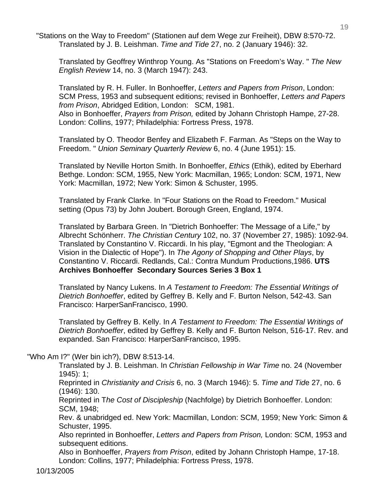"Stations on the Way to Freedom" (Stationen auf dem Wege zur Freiheit), DBW 8:570-72. Translated by J. B. Leishman. *Time and Tide* 27, no. 2 (January 1946): 32.

 Translated by Geoffrey Winthrop Young. As "Stations on Freedom's Way. " *The New English Review* 14, no. 3 (March 1947): 243.

 Translated by R. H. Fuller. In Bonhoeffer, *Letters and Papers from Prison*, London: SCM Press, 1953 and subsequent editions; revised in Bonhoeffer, *Letters and Papers from Prison*, Abridged Edition, London: SCM, 1981. Also in Bonhoeffer, *Prayers from Prison,* edited by Johann Christoph Hampe, 27-28.

London: Collins, 1977; Philadelphia: Fortress Press, 1978.

 Translated by O. Theodor Benfey and Elizabeth F. Farman. As "Steps on the Way to Freedom. " *Union Seminary Quarterly Review* 6, no. 4 (June 1951): 15.

 Translated by Neville Horton Smith. In Bonhoeffer, *Ethics* (Ethik), edited by Eberhard Bethge. London: SCM, 1955, New York: Macmillan, 1965; London: SCM, 1971, New York: Macmillan, 1972; New York: Simon & Schuster, 1995.

 Translated by Frank Clarke. In "Four Stations on the Road to Freedom." Musical setting (Opus 73) by John Joubert. Borough Green, England, 1974.

 Translated by Barbara Green. In "Dietrich Bonhoeffer: The Message of a Life," by Albrecht Schönherr. *The Christian Century* 102, no. 37 (November 27, 1985): 1092-94. Translated by Constantino V. Riccardi. In his play, "Egmont and the Theologian: A Vision in the Dialectic of Hope"). In *The Agony of Shopping and Other Plays*, by Constantino V. Riccardi. Redlands, Cal.: Contra Mundum Productions,1986. **UTS Archives Bonhoeffer Secondary Sources Series 3 Box 1**

 Translated by Nancy Lukens. In *A Testament to Freedom: The Essential Writings of Dietrich Bonhoeffer*, edited by Geffrey B. Kelly and F. Burton Nelson, 542-43. San Francisco: HarperSanFrancisco, 1990.

 Translated by Geffrey B. Kelly. In *A Testament to Freedom: The Essential Writings of Dietrich Bonhoeffer*, edited by Geffrey B. Kelly and F. Burton Nelson, 516-17. Rev. and expanded. San Francisco: HarperSanFrancisco, 1995.

"Who Am I?" (Wer bin ich?), DBW 8:513-14.

 Translated by J. B. Leishman. In *Christian Fellowship in War Time* no. 24 (November 1945): 1;

 Reprinted in *Christianity and Crisis* 6, no. 3 (March 1946): 5. *Time and Tid*e 27, no. 6 (1946): 130.

 Reprinted in T*he Cost of Discipleship* (Nachfolge) by Dietrich Bonhoeffer. London: SCM, 1948;

 Rev. & unabridged ed. New York: Macmillan, London: SCM, 1959; New York: Simon & Schuster, 1995.

 Also reprinted in Bonhoeffer, *Letters and Papers from Prison,* London: SCM, 1953 and subsequent editions.

 Also in Bonhoeffer, *Prayers from Prison*, edited by Johann Christoph Hampe, 17-18. London: Collins, 1977; Philadelphia: Fortress Press, 1978.

10/13/2005